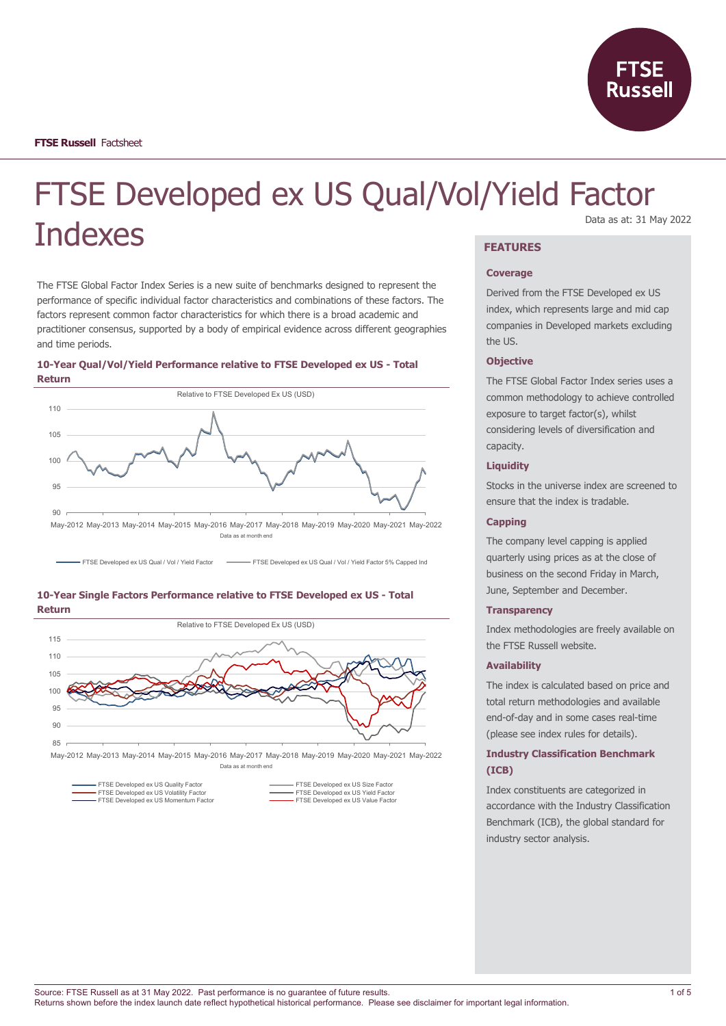

# FTSE Developed ex US Qual/Vol/Yield Factor Indexes Data as at: 31 May 2022

The FTSE Global Factor Index Series is a new suite of benchmarks designed to represent the performance of specific individual factor characteristics and combinations of these factors. The factors represent common factor characteristics for which there is a broad academic and practitioner consensus, supported by a body of empirical evidence across different geographies and time periods.





FTSE Developed ex US Qual / Vol / Yield Factor FRTSE Developed ex US Qual / Vol / Yield Factor 5% Capped Ind





May-2012 May-2013 May-2014 May-2015 May-2016 May-2017 May-2018 May-2019 May-2020 May-2021 May-2022 Data as at month end

FTSE Developed ex US Quality Factor<br>FTSE Developed ex US Volatility Factor FTS FORD FTSE Developed ex US Yield Factor<br>FTSE Developed ex US Momentum Factor FTSE Reveloped ex US Value Factor FTSE Developed ex US Value Factor

# **FEATURES**

#### **Coverage**

Derived from the FTSE Developed ex US index, which represents large and mid cap companies in Developed markets excluding the US.

#### **Objective**

The FTSE Global Factor Index series uses a common methodology to achieve controlled exposure to target factor(s), whilst considering levels of diversification and capacity.

#### **Liquidity**

Stocks in the universe index are screened to ensure that the index is tradable.

#### **Capping**

The company level capping is applied quarterly using prices as at the close of business on the second Friday in March, June, September and December.

#### **Transparency**

Index methodologies are freely available on the FTSE Russell website.

#### **Availability**

The index is calculated based on price and total return methodologies and available end-of-day and in some cases real-time (please see index rules for details).

# **Industry Classification Benchmark (ICB)**

Index constituents are categorized in accordance with the Industry Classification Benchmark (ICB), the global standard for industry sector analysis.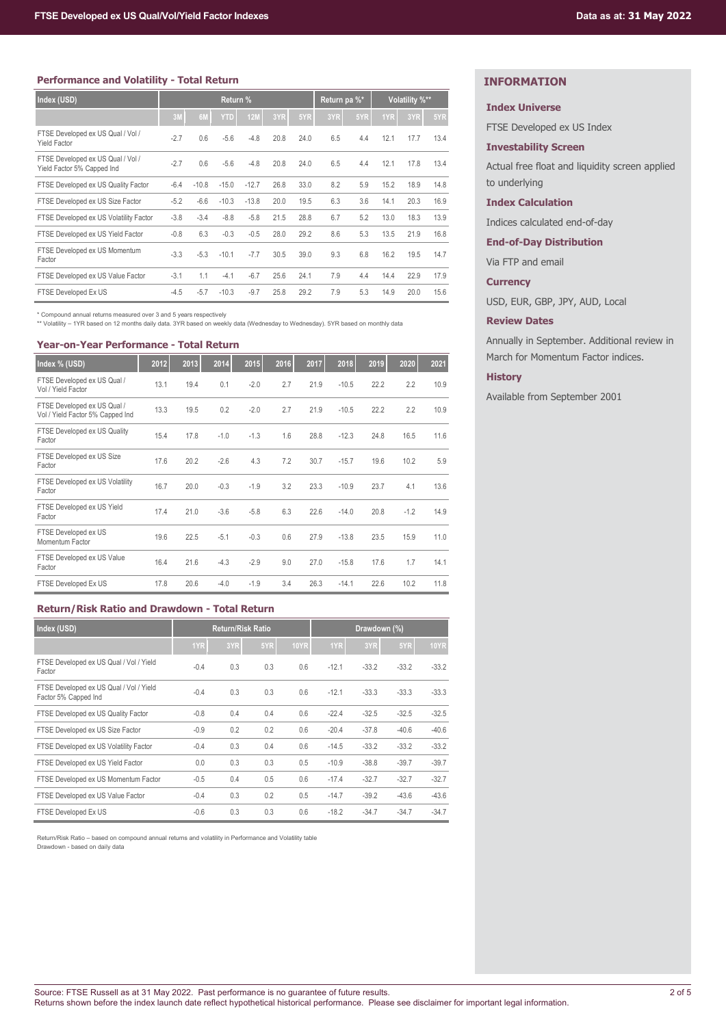## **Performance and Volatility - Total Return**

| Index (USD)                                                     | Return % |         |            | Return pa %* |      | Volatility %** |     |     |      |      |      |
|-----------------------------------------------------------------|----------|---------|------------|--------------|------|----------------|-----|-----|------|------|------|
|                                                                 | 3M       | 6M      | <b>YTD</b> | <b>12M</b>   | 3YR  | 5YR            | 3YR | 5YR | 1YR  | 3YR  | 5YR  |
| FTSE Developed ex US Qual / Vol /<br><b>Yield Factor</b>        | $-2.7$   | 0.6     | $-5.6$     | $-4.8$       | 20.8 | 24.0           | 6.5 | 4.4 | 12.1 | 17.7 | 13.4 |
| FTSE Developed ex US Qual / Vol /<br>Yield Factor 5% Capped Ind | $-2.7$   | 0.6     | $-5.6$     | $-4.8$       | 20.8 | 24.0           | 6.5 | 4.4 | 12.1 | 17.8 | 13.4 |
| FTSE Developed ex US Quality Factor                             | $-6.4$   | $-10.8$ | $-15.0$    | $-12.7$      | 26.8 | 33.0           | 8.2 | 5.9 | 15.2 | 18.9 | 14.8 |
| FTSE Developed ex US Size Factor                                | $-5.2$   | $-6.6$  | $-10.3$    | $-13.8$      | 20.0 | 19.5           | 6.3 | 3.6 | 14.1 | 20.3 | 16.9 |
| FTSE Developed ex US Volatility Factor                          | $-3.8$   | $-3.4$  | $-8.8$     | $-5.8$       | 21.5 | 28.8           | 6.7 | 5.2 | 13.0 | 18.3 | 13.9 |
| FTSE Developed ex US Yield Factor                               | $-0.8$   | 6.3     | $-0.3$     | $-0.5$       | 28.0 | 29.2           | 8.6 | 5.3 | 13.5 | 21.9 | 16.8 |
| FTSE Developed ex US Momentum<br>Factor                         | $-3.3$   | $-5.3$  | $-10.1$    | $-7.7$       | 30.5 | 39.0           | 9.3 | 6.8 | 16.2 | 19.5 | 14.7 |
| FTSE Developed ex US Value Factor                               | $-3.1$   | 1.1     | $-4.1$     | $-6.7$       | 25.6 | 24.1           | 7.9 | 4.4 | 14.4 | 22.9 | 17.9 |
| FTSE Developed Ex US                                            | $-4.5$   | $-5.7$  | $-10.3$    | $-9.7$       | 25.8 | 29.2           | 7.9 | 5.3 | 14.9 | 20.0 | 15.6 |

\* Compound annual returns measured over 3 and 5 years respectively

\*\* Volatility – 1YR based on 12 months daily data. 3YR based on weekly data (Wednesday to Wednesday). 5YR based on monthly data

## **Year-on-Year Performance - Total Return**

| Index % (USD)                                                   | 2012 | 2013 | 2014   | 2015   | 2016 | 2017 | 2018    | 2019 | 2020   | 2021 |
|-----------------------------------------------------------------|------|------|--------|--------|------|------|---------|------|--------|------|
| FTSE Developed ex US Qual /<br>Vol / Yield Factor               | 13.1 | 19.4 | 0.1    | $-2.0$ | 2.7  | 21.9 | $-10.5$ | 22.2 | 2.2    | 10.9 |
| FTSE Developed ex US Qual /<br>Vol / Yield Factor 5% Capped Ind | 13.3 | 19.5 | 0.2    | $-2.0$ | 2.7  | 21.9 | $-10.5$ | 22.2 | 2.2    | 10.9 |
| FTSE Developed ex US Quality<br>Factor                          | 15.4 | 17.8 | $-1.0$ | $-1.3$ | 1.6  | 28.8 | $-12.3$ | 24.8 | 16.5   | 11.6 |
| FTSE Developed ex US Size<br>Factor                             | 17.6 | 20.2 | $-2.6$ | 4.3    | 7.2  | 30.7 | $-15.7$ | 19.6 | 10.2   | 5.9  |
| FTSE Developed ex US Volatility<br>Factor                       | 16.7 | 20.0 | $-0.3$ | $-1.9$ | 3.2  | 23.3 | $-10.9$ | 23.7 | 4.1    | 13.6 |
| FTSE Developed ex US Yield<br>Factor                            | 17.4 | 21.0 | $-3.6$ | $-5.8$ | 6.3  | 22.6 | $-14.0$ | 20.8 | $-1.2$ | 14.9 |
| FTSE Developed ex US<br>Momentum Factor                         | 19.6 | 22.5 | $-5.1$ | $-0.3$ | 0.6  | 27.9 | $-13.8$ | 23.5 | 15.9   | 11.0 |
| FTSE Developed ex US Value<br>Factor                            | 16.4 | 21.6 | $-4.3$ | $-2.9$ | 9.0  | 27.0 | $-15.8$ | 17.6 | 1.7    | 14.1 |
| FTSE Developed Ex US                                            | 17.8 | 20.6 | $-4.0$ | $-1.9$ | 3.4  | 26.3 | $-14.1$ | 22.6 | 10.2   | 11.8 |

# **Return/Risk Ratio and Drawdown - Total Return**

| Index (USD)                                                     | <b>Return/Risk Ratio</b> |     |     |             | Drawdown (%) |         |         |             |
|-----------------------------------------------------------------|--------------------------|-----|-----|-------------|--------------|---------|---------|-------------|
|                                                                 | 1YR                      | 3YR | 5YR | <b>10YR</b> | 1YR          | 3YR     | 5YR     | <b>10YR</b> |
| FTSE Developed ex US Qual / Vol / Yield<br>Factor               | $-0.4$                   | 0.3 | 0.3 | 0.6         | $-12.1$      | $-33.2$ | $-33.2$ | $-33.2$     |
| FTSE Developed ex US Qual / Vol / Yield<br>Factor 5% Capped Ind | $-0.4$                   | 0.3 | 0.3 | 0.6         | $-12.1$      | $-33.3$ | $-33.3$ | $-33.3$     |
| FTSE Developed ex US Quality Factor                             | $-0.8$                   | 0.4 | 0.4 | 0.6         | $-22.4$      | $-32.5$ | $-32.5$ | $-32.5$     |
| FTSE Developed ex US Size Factor                                | $-0.9$                   | 0.2 | 0.2 | 0.6         | $-20.4$      | $-37.8$ | $-40.6$ | $-40.6$     |
| FTSE Developed ex US Volatility Factor                          | $-0.4$                   | 0.3 | 0.4 | 0.6         | $-14.5$      | $-33.2$ | $-33.2$ | $-33.2$     |
| FTSE Developed ex US Yield Factor                               | 0.0                      | 0.3 | 0.3 | 0.5         | $-10.9$      | $-38.8$ | $-39.7$ | $-39.7$     |
| FTSE Developed ex US Momentum Factor                            | $-0.5$                   | 0.4 | 0.5 | 0.6         | $-17.4$      | $-32.7$ | $-32.7$ | $-32.7$     |
| FTSE Developed ex US Value Factor                               | $-0.4$                   | 0.3 | 0.2 | 0.5         | $-14.7$      | $-39.2$ | $-43.6$ | $-43.6$     |
| FTSE Developed Ex US                                            | $-0.6$                   | 0.3 | 0.3 | 0.6         | $-18.2$      | $-34.7$ | $-34.7$ | $-34.7$     |

Return/Risk Ratio – based on compound annual returns and volatility in Performance and Volatility table Drawdown - based on daily data

# **INFORMATION**

#### **Index Universe**

FTSE Developed ex US Index

#### **Investability Screen**

Actual free float and liquidity screen applied to underlying

## **Index Calculation**

Indices calculated end-of-day

**End-of-Day Distribution**

Via FTP and email

## **Currency**

USD, EUR, GBP, JPY, AUD, Local

#### **Review Dates**

Annually in September. Additional review in March for Momentum Factor indices.

## **History**

Available from September 2001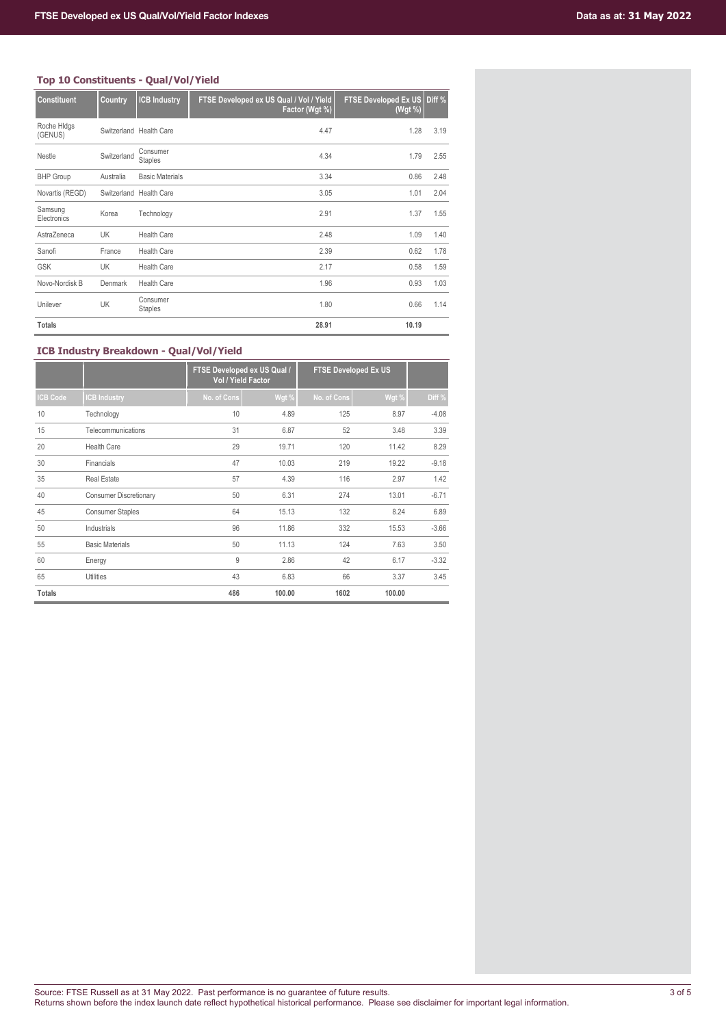# **Top 10 Constituents - Qual/Vol/Yield**

| - ראווסטונטט סב        |             | <b>VANIL LAIRE</b>         |                                                           |                                               |      |
|------------------------|-------------|----------------------------|-----------------------------------------------------------|-----------------------------------------------|------|
| <b>Constituent</b>     | Country     | <b>ICB Industry</b>        | FTSE Developed ex US Qual / Vol / Yield<br>Factor (Wgt %) | <b>FTSE Developed Ex US Diff %</b><br>(Wgt %) |      |
| Roche Hidgs<br>(GENUS) |             | Switzerland Health Care    | 4.47                                                      | 1.28                                          | 3.19 |
| Nestle                 | Switzerland | Consumer<br><b>Staples</b> | 4.34                                                      | 1.79                                          | 2.55 |
| <b>BHP Group</b>       | Australia   | <b>Basic Materials</b>     | 3.34                                                      | 0.86                                          | 2.48 |
| Novartis (REGD)        |             | Switzerland Health Care    | 3.05                                                      | 1.01                                          | 2.04 |
| Samsung<br>Electronics | Korea       | Technology                 | 2.91                                                      | 1.37                                          | 1.55 |
| AstraZeneca            | UK          | <b>Health Care</b>         | 2.48                                                      | 1.09                                          | 1.40 |
| Sanofi                 | France      | <b>Health Care</b>         | 2.39                                                      | 0.62                                          | 1.78 |
| <b>GSK</b>             | <b>UK</b>   | <b>Health Care</b>         | 2.17                                                      | 0.58                                          | 1.59 |
| Novo-Nordisk B         | Denmark     | <b>Health Care</b>         | 1.96                                                      | 0.93                                          | 1.03 |
| Unilever               | UK          | Consumer<br><b>Staples</b> | 1.80                                                      | 0.66                                          | 1.14 |
| <b>Totals</b>          |             |                            | 28.91                                                     | 10.19                                         |      |

# **ICB Industry Breakdown - Qual/Vol/Yield**

|               |                               | FTSE Developed ex US Qual /<br>Vol / Yield Factor |        | <b>FTSE Developed Ex US</b> |        |         |
|---------------|-------------------------------|---------------------------------------------------|--------|-----------------------------|--------|---------|
| ICB Code      | <b>ICB Industry</b>           | No. of Cons                                       | Wgt %  | No. of Cons                 | Wgt %  | Diff %  |
| 10            | Technology                    | 10                                                | 4.89   | 125                         | 8.97   | $-4.08$ |
| 15            | Telecommunications            | 31                                                | 6.87   | 52                          | 3.48   | 3.39    |
| 20            | <b>Health Care</b>            | 29                                                | 19.71  | 120                         | 11.42  | 8.29    |
| 30            | Financials                    | 47                                                | 10.03  | 219                         | 19.22  | $-9.18$ |
| 35            | <b>Real Estate</b>            | 57                                                | 4.39   | 116                         | 2.97   | 1.42    |
| 40            | <b>Consumer Discretionary</b> | 50                                                | 6.31   | 274                         | 13.01  | $-6.71$ |
| 45            | <b>Consumer Staples</b>       | 64                                                | 15.13  | 132                         | 8.24   | 6.89    |
| 50            | Industrials                   | 96                                                | 11.86  | 332                         | 15.53  | $-3.66$ |
| 55            | <b>Basic Materials</b>        | 50                                                | 11.13  | 124                         | 7.63   | 3.50    |
| 60            | Energy                        | 9                                                 | 2.86   | 42                          | 6.17   | $-3.32$ |
| 65            | <b>Utilities</b>              | 43                                                | 6.83   | 66                          | 3.37   | 3.45    |
| <b>Totals</b> |                               | 486                                               | 100.00 | 1602                        | 100.00 |         |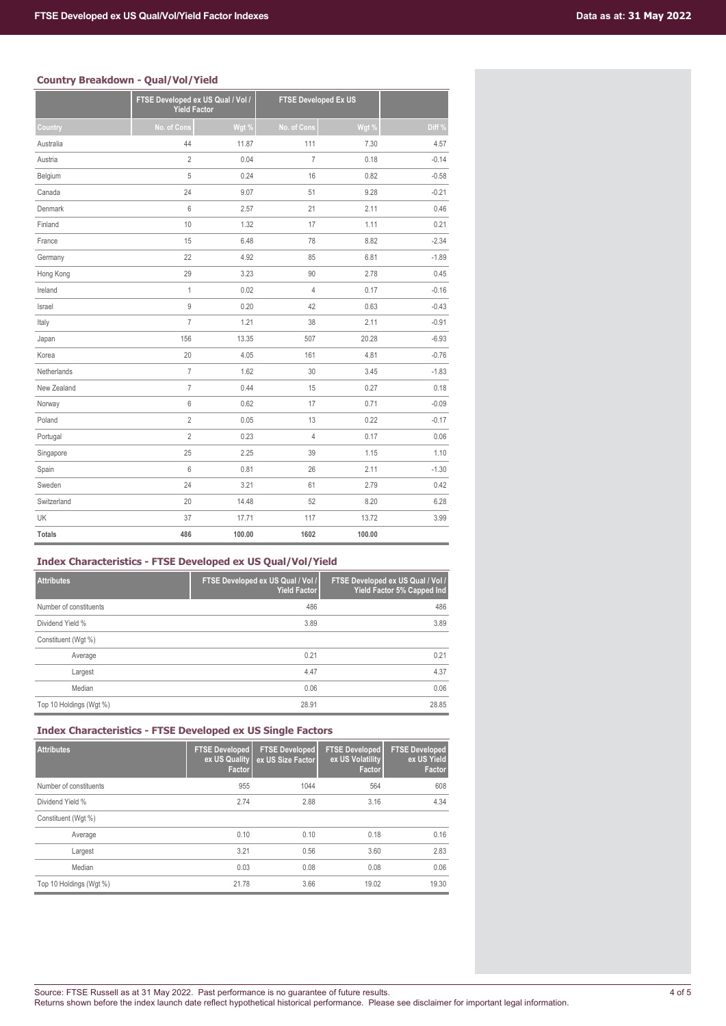# **Country Breakdown - Qual/Vol/Yield**

| ovenu je prvenevitni | www.youtube.com                                          | .      |                             |        |         |
|----------------------|----------------------------------------------------------|--------|-----------------------------|--------|---------|
|                      | FTSE Developed ex US Qual / Vol /<br><b>Yield Factor</b> |        | <b>FTSE Developed Ex US</b> |        |         |
| Country              | No. of Cons                                              | Wgt %  | No. of Cons                 | Wgt %  | Diff %  |
| Australia            | 44                                                       | 11.87  | 111                         | 7.30   | 4.57    |
| Austria              | $\overline{2}$                                           | 0.04   | $\overline{7}$              | 0.18   | $-0.14$ |
| Belgium              | 5                                                        | 0.24   | 16                          | 0.82   | $-0.58$ |
| Canada               | 24                                                       | 9.07   | 51                          | 9.28   | $-0.21$ |
| Denmark              | $6\,$                                                    | 2.57   | 21                          | 2.11   | 0.46    |
| Finland              | 10                                                       | 1.32   | 17                          | 1.11   | 0.21    |
| France               | 15                                                       | 6.48   | 78                          | 8.82   | $-2.34$ |
| Germany              | 22                                                       | 4.92   | 85                          | 6.81   | $-1.89$ |
| Hong Kong            | 29                                                       | 3.23   | 90                          | 2.78   | 0.45    |
| Ireland              | $\mathbf{1}$                                             | 0.02   | $\overline{4}$              | 0.17   | $-0.16$ |
| Israel               | $\mathsf g$                                              | 0.20   | 42                          | 0.63   | $-0.43$ |
| Italy                | $\overline{7}$                                           | 1.21   | 38                          | 2.11   | $-0.91$ |
| Japan                | 156                                                      | 13.35  | 507                         | 20.28  | $-6.93$ |
| Korea                | 20                                                       | 4.05   | 161                         | 4.81   | $-0.76$ |
| Netherlands          | $\overline{7}$                                           | 1.62   | 30                          | 3.45   | $-1.83$ |
| New Zealand          | $\overline{7}$                                           | 0.44   | 15                          | 0.27   | 0.18    |
| Norway               | 6                                                        | 0.62   | 17                          | 0.71   | $-0.09$ |
| Poland               | $\overline{2}$                                           | 0.05   | 13                          | 0.22   | $-0.17$ |
| Portugal             | $\overline{2}$                                           | 0.23   | 4                           | 0.17   | 0.06    |
| Singapore            | 25                                                       | 2.25   | 39                          | 1.15   | 1.10    |
| Spain                | 6                                                        | 0.81   | 26                          | 2.11   | $-1.30$ |
| Sweden               | 24                                                       | 3.21   | 61                          | 2.79   | 0.42    |
| Switzerland          | 20                                                       | 14.48  | 52                          | 8.20   | 6.28    |
| UK                   | 37                                                       | 17.71  | 117                         | 13.72  | 3.99    |
| <b>Totals</b>        | 486                                                      | 100.00 | 1602                        | 100.00 |         |

# **Index Characteristics - FTSE Developed ex US Qual/Vol/Yield**

| <b>Attributes</b>       | FTSE Developed ex US Qual / Vol /<br><b>Yield Factor</b> | FTSE Developed ex US Qual / Vol /<br>Yield Factor 5% Capped Ind |
|-------------------------|----------------------------------------------------------|-----------------------------------------------------------------|
| Number of constituents  | 486                                                      | 486                                                             |
| Dividend Yield %        | 3.89                                                     | 3.89                                                            |
| Constituent (Wgt %)     |                                                          |                                                                 |
| Average                 | 0.21                                                     | 0.21                                                            |
| Largest                 | 4.47                                                     | 4.37                                                            |
| Median                  | 0.06                                                     | 0.06                                                            |
| Top 10 Holdings (Wgt %) | 28.91                                                    | 28.85                                                           |

# **Index Characteristics - FTSE Developed ex US Single Factors**

| Attributes              | <b>FTSE Developed</b><br>ex US Quality<br>Factor | <b>FTSE Developed</b><br>ex US Size Factor | <b>FTSE Developed</b><br>ex US Volatility<br>Factor | <b>FTSE Developed</b><br>ex US Yield<br>Factor |
|-------------------------|--------------------------------------------------|--------------------------------------------|-----------------------------------------------------|------------------------------------------------|
| Number of constituents  | 955                                              | 1044                                       | 564                                                 | 608                                            |
| Dividend Yield %        | 2.74                                             | 2.88                                       | 3.16                                                | 4.34                                           |
| Constituent (Wgt %)     |                                                  |                                            |                                                     |                                                |
| Average                 | 0.10                                             | 0.10                                       | 0.18                                                | 0.16                                           |
| Largest                 | 3.21                                             | 0.56                                       | 3.60                                                | 2.83                                           |
| Median                  | 0.03                                             | 0.08                                       | 0.08                                                | 0.06                                           |
| Top 10 Holdings (Wgt %) | 21.78                                            | 3.66                                       | 19.02                                               | 19.30                                          |